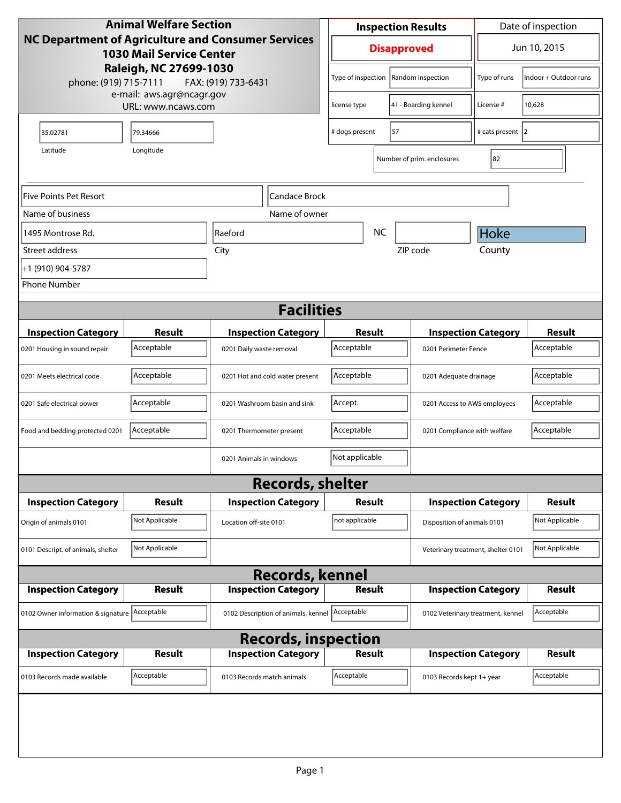| <b>Animal Welfare Section</b>                                                         |                             |                                                        | <b>Inspection Results</b> |                                            |                      | Date of inspection                |                                                    |                       |
|---------------------------------------------------------------------------------------|-----------------------------|--------------------------------------------------------|---------------------------|--------------------------------------------|----------------------|-----------------------------------|----------------------------------------------------|-----------------------|
| NC Department of Agriculture and Consumer Services<br><b>1030 Mail Service Center</b> |                             |                                                        | <b>Disapproved</b>        |                                            |                      | Jun 10, 2015                      |                                                    |                       |
| Raleigh, NC 27699-1030<br>phone: (919) 715-7111<br>FAX: (919) 733-6431                |                             |                                                        |                           | Type of inspection                         |                      | Random inspection                 | Type of runs                                       | Indoor + Outdoor runs |
| e-mail: aws.agr@ncagr.gov<br>URL: www.ncaws.com                                       |                             |                                                        | license type              |                                            | 41 - Boarding kennel | License #                         | 10,628                                             |                       |
| 35.02781                                                                              | 79.34666                    |                                                        | # dogs present<br>57      |                                            |                      | # cats present 2                  |                                                    |                       |
| Latitude<br>Longitude                                                                 |                             |                                                        |                           |                                            |                      | Number of prim. enclosures        | 82                                                 |                       |
| <b>Five Points Pet Resort</b>                                                         |                             |                                                        | Candace Brock             |                                            |                      |                                   |                                                    |                       |
| Name of business                                                                      |                             |                                                        | Name of owner             |                                            |                      |                                   |                                                    |                       |
| 1495 Montrose Rd.                                                                     |                             | Raeford                                                |                           |                                            | <b>NC</b>            |                                   | Hoke                                               |                       |
| Street address                                                                        |                             | City                                                   |                           |                                            |                      | ZIP code                          | County                                             |                       |
| +1 (910) 904-5787                                                                     |                             |                                                        |                           |                                            |                      |                                   |                                                    |                       |
| <b>Phone Number</b>                                                                   |                             |                                                        |                           |                                            |                      |                                   |                                                    |                       |
|                                                                                       |                             |                                                        | <b>Facilities</b>         |                                            |                      |                                   |                                                    |                       |
|                                                                                       |                             |                                                        |                           |                                            |                      |                                   |                                                    | <b>Result</b>         |
| <b>Inspection Category</b>                                                            | <b>Result</b><br>Acceptable | <b>Inspection Category</b><br>0201 Daily waste removal |                           | Result<br>Acceptable                       |                      |                                   | <b>Inspection Category</b><br>0201 Perimeter Fence |                       |
| 0201 Housing in sound repair                                                          |                             |                                                        |                           |                                            |                      |                                   |                                                    | Acceptable            |
| 0201 Meets electrical code                                                            | Acceptable                  | 0201 Hot and cold water present                        |                           | Acceptable<br>0201 Adequate drainage       |                      |                                   | Acceptable                                         |                       |
| 0201 Safe electrical power                                                            | Acceptable                  | 0201 Washroom basin and sink                           |                           | Accept.<br>0201 Access to AWS employees    |                      |                                   | Acceptable                                         |                       |
| Food and bedding protected 0201                                                       | Acceptable                  | 0201 Thermometer present                               |                           | Acceptable<br>0201 Compliance with welfare |                      |                                   | Acceptable                                         |                       |
|                                                                                       |                             | 0201 Animals in windows                                |                           | Not applicable                             |                      |                                   |                                                    |                       |
|                                                                                       |                             | <b>Records, shelter</b>                                |                           |                                            |                      |                                   |                                                    |                       |
| <b>Inspection Category</b>                                                            | Result                      | <b>Inspection Category</b>                             |                           | Result                                     |                      |                                   | <b>Inspection Category</b>                         | <b>Result</b>         |
| Origin of animals 0101                                                                | Not Applicable              | Location off-site 0101                                 |                           | not applicable                             |                      | Disposition of animals 0101       |                                                    | Not Applicable        |
| 0101 Descript. of animals, shelter                                                    | Not Applicable              |                                                        |                           | Veterinary treatment, shelter 0101         |                      |                                   | Not Applicable                                     |                       |
|                                                                                       |                             | <b>Records, kennel</b>                                 |                           |                                            |                      |                                   |                                                    |                       |
| <b>Inspection Category</b>                                                            | <b>Result</b>               | <b>Inspection Category</b>                             |                           | <b>Result</b>                              |                      |                                   | <b>Inspection Category</b>                         | <b>Result</b>         |
| 0102 Owner information & signature Acceptable                                         |                             | 0102 Description of animals, kennel   Acceptable       |                           |                                            |                      | 0102 Veterinary treatment, kennel |                                                    | Acceptable            |
| <b>Records, inspection</b>                                                            |                             |                                                        |                           |                                            |                      |                                   |                                                    |                       |
| <b>Inspection Category</b>                                                            | <b>Result</b>               | <b>Inspection Category</b>                             |                           | <b>Result</b>                              |                      |                                   | <b>Inspection Category</b>                         | <b>Result</b>         |
| 0103 Records made available                                                           | Acceptable                  | 0103 Records match animals                             |                           | Acceptable                                 |                      | 0103 Records kept 1+ year         |                                                    | Acceptable            |
|                                                                                       |                             |                                                        |                           |                                            |                      |                                   |                                                    |                       |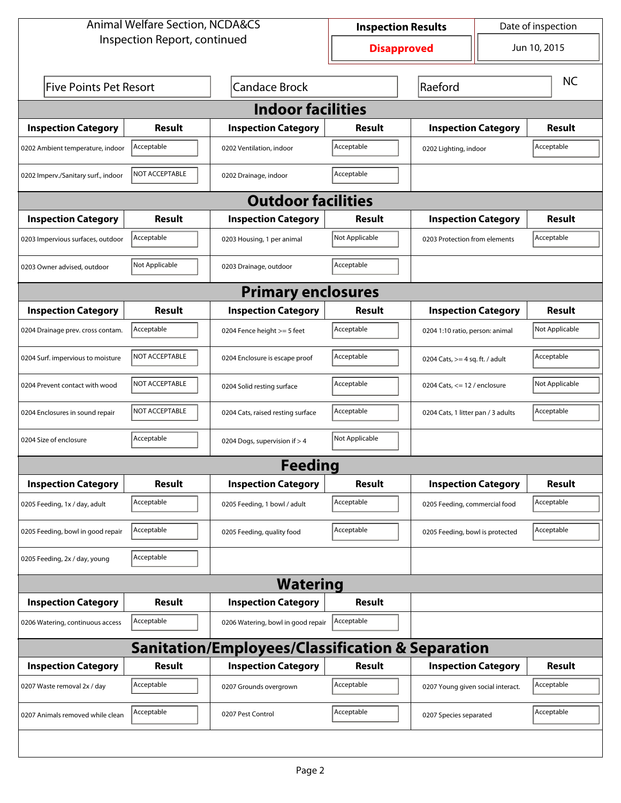| <b>Animal Welfare Section, NCDA&amp;CS</b>       |                              | Date of inspection<br><b>Inspection Results</b> |                    |                                    |              |                |  |
|--------------------------------------------------|------------------------------|-------------------------------------------------|--------------------|------------------------------------|--------------|----------------|--|
|                                                  | Inspection Report, continued |                                                 | <b>Disapproved</b> |                                    | Jun 10, 2015 |                |  |
| <b>Five Points Pet Resort</b>                    |                              | <b>Candace Brock</b>                            | Raeford            |                                    |              | <b>NC</b>      |  |
| <b>Indoor facilities</b>                         |                              |                                                 |                    |                                    |              |                |  |
| <b>Inspection Category</b>                       | Result                       | <b>Inspection Category</b>                      | Result             | <b>Inspection Category</b>         |              | <b>Result</b>  |  |
| 0202 Ambient temperature, indoor                 | Acceptable                   | 0202 Ventilation, indoor                        | Acceptable         | 0202 Lighting, indoor              |              | Acceptable     |  |
| 0202 Imperv./Sanitary surf., indoor              | NOT ACCEPTABLE               | 0202 Drainage, indoor                           | Acceptable         |                                    |              |                |  |
|                                                  |                              | <b>Outdoor facilities</b>                       |                    |                                    |              |                |  |
| <b>Inspection Category</b>                       | Result                       | <b>Inspection Category</b>                      | Result             | <b>Inspection Category</b>         |              | Result         |  |
| 0203 Impervious surfaces, outdoor                | Acceptable                   | 0203 Housing, 1 per animal                      | Not Applicable     | 0203 Protection from elements      |              | Acceptable     |  |
| 0203 Owner advised, outdoor                      | Not Applicable               | 0203 Drainage, outdoor                          | Acceptable         |                                    |              |                |  |
|                                                  |                              | <b>Primary enclosures</b>                       |                    |                                    |              |                |  |
| <b>Inspection Category</b>                       | Result                       | <b>Inspection Category</b>                      | Result             | <b>Inspection Category</b>         |              | Result         |  |
| 0204 Drainage prev. cross contam.                | Acceptable                   | 0204 Fence height >= 5 feet                     | Acceptable         | 0204 1:10 ratio, person: animal    |              | Not Applicable |  |
| 0204 Surf. impervious to moisture                | NOT ACCEPTABLE               | 0204 Enclosure is escape proof                  | Acceptable         | 0204 Cats, $>=$ 4 sq. ft. / adult  |              | Acceptable     |  |
| 0204 Prevent contact with wood                   | <b>NOT ACCEPTABLE</b>        | 0204 Solid resting surface                      | Acceptable         | 0204 Cats, $\le$ 12 / enclosure    |              | Not Applicable |  |
| 0204 Enclosures in sound repair                  | NOT ACCEPTABLE               | 0204 Cats, raised resting surface               | Acceptable         | 0204 Cats, 1 litter pan / 3 adults |              | Acceptable     |  |
| 0204 Size of enclosure                           | Acceptable                   | 0204 Dogs, supervision if > 4                   | Not Applicable     |                                    |              |                |  |
|                                                  |                              | Feedina                                         |                    |                                    |              |                |  |
| <b>Inspection Category</b>                       | <b>Result</b>                | <b>Inspection Category</b>                      | <b>Result</b>      | <b>Inspection Category</b>         |              | <b>Result</b>  |  |
| 0205 Feeding, 1x / day, adult                    | Acceptable                   | 0205 Feeding, 1 bowl / adult                    | Acceptable         | 0205 Feeding, commercial food      |              | Acceptable     |  |
| 0205 Feeding, bowl in good repair                | Acceptable                   | 0205 Feeding, quality food                      | Acceptable         | 0205 Feeding, bowl is protected    |              | Acceptable     |  |
| 0205 Feeding, 2x / day, young                    | Acceptable                   |                                                 |                    |                                    |              |                |  |
|                                                  |                              | <b>Watering</b>                                 |                    |                                    |              |                |  |
| <b>Inspection Category</b>                       | <b>Result</b>                | <b>Inspection Category</b>                      | <b>Result</b>      |                                    |              |                |  |
| 0206 Watering, continuous access                 | Acceptable                   | 0206 Watering, bowl in good repair              | Acceptable         |                                    |              |                |  |
| Sanitation/Employees/Classification & Separation |                              |                                                 |                    |                                    |              |                |  |
| <b>Inspection Category</b>                       | <b>Result</b>                | <b>Inspection Category</b>                      | <b>Result</b>      | <b>Inspection Category</b>         |              | <b>Result</b>  |  |
| 0207 Waste removal 2x / day                      | Acceptable                   | 0207 Grounds overgrown                          | Acceptable         | 0207 Young given social interact.  |              | Acceptable     |  |
| 0207 Animals removed while clean                 | Acceptable                   | 0207 Pest Control                               | Acceptable         | 0207 Species separated             |              | Acceptable     |  |
|                                                  |                              |                                                 |                    |                                    |              |                |  |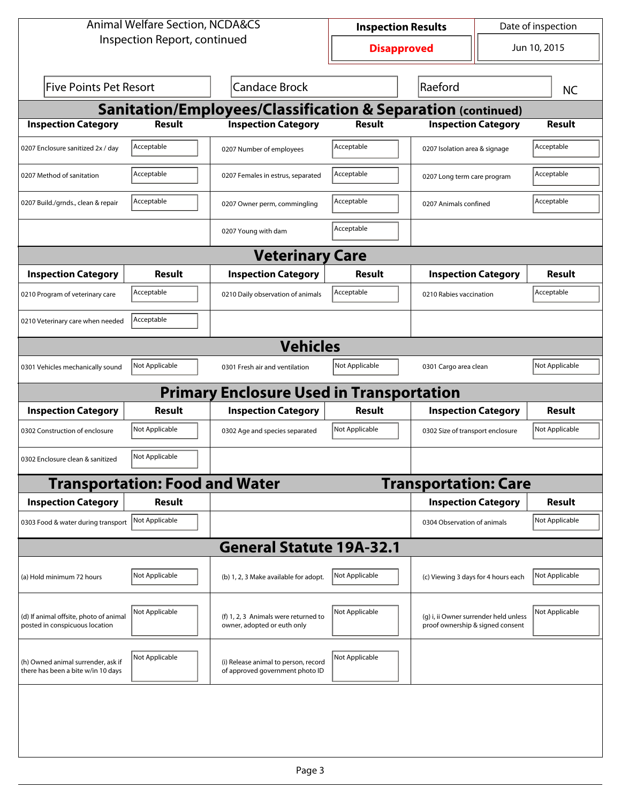| <b>Animal Welfare Section, NCDA&amp;CS</b>                               |                                       |                                                                         | Date of inspection<br><b>Inspection Results</b> |                                                                           |  |                |  |
|--------------------------------------------------------------------------|---------------------------------------|-------------------------------------------------------------------------|-------------------------------------------------|---------------------------------------------------------------------------|--|----------------|--|
| Inspection Report, continued                                             |                                       | <b>Disapproved</b>                                                      |                                                 | Jun 10, 2015                                                              |  |                |  |
| <b>Five Points Pet Resort</b><br><b>Candace Brock</b>                    |                                       |                                                                         | Raeford                                         |                                                                           |  |                |  |
| Sanitation/Employees/Classification & Separation (continued)             |                                       |                                                                         |                                                 |                                                                           |  |                |  |
| <b>Inspection Category</b>                                               | <b>Result</b>                         | <b>Inspection Category</b>                                              | <b>Result</b>                                   | <b>Inspection Category</b>                                                |  | <b>Result</b>  |  |
| 0207 Enclosure sanitized 2x / day                                        | Acceptable                            | 0207 Number of employees                                                | Acceptable                                      | 0207 Isolation area & signage                                             |  | Acceptable     |  |
| 0207 Method of sanitation                                                | Acceptable                            | 0207 Females in estrus, separated                                       | Acceptable                                      | 0207 Long term care program                                               |  | Acceptable     |  |
| 0207 Build./grnds., clean & repair                                       | Acceptable                            | 0207 Owner perm, commingling                                            | Acceptable                                      | 0207 Animals confined                                                     |  | Acceptable     |  |
|                                                                          |                                       | 0207 Young with dam                                                     | Acceptable                                      |                                                                           |  |                |  |
| <b>Veterinary Care</b>                                                   |                                       |                                                                         |                                                 |                                                                           |  |                |  |
| <b>Inspection Category</b>                                               | Result                                | <b>Inspection Category</b>                                              | Result                                          | <b>Inspection Category</b>                                                |  | Result         |  |
| 0210 Program of veterinary care                                          | Acceptable                            | 0210 Daily observation of animals                                       | Acceptable                                      | 0210 Rabies vaccination                                                   |  | Acceptable     |  |
| 0210 Veterinary care when needed                                         | Acceptable                            |                                                                         |                                                 |                                                                           |  |                |  |
|                                                                          |                                       | <b>Vehicles</b>                                                         |                                                 |                                                                           |  |                |  |
| 0301 Vehicles mechanically sound                                         | Not Applicable                        | 0301 Fresh air and ventilation                                          | Not Applicable                                  | 0301 Cargo area clean                                                     |  | Not Applicable |  |
|                                                                          |                                       | <b>Primary Enclosure Used in Transportation</b>                         |                                                 |                                                                           |  |                |  |
| <b>Inspection Category</b>                                               | Result                                | <b>Inspection Category</b>                                              | Result                                          | <b>Inspection Category</b>                                                |  | Result         |  |
| 0302 Construction of enclosure                                           | Not Applicable                        | 0302 Age and species separated                                          | Not Applicable                                  | 0302 Size of transport enclosure                                          |  | Not Applicable |  |
| 0302 Enclosure clean & sanitized                                         | Not Applicable                        |                                                                         |                                                 |                                                                           |  |                |  |
|                                                                          | <b>Transportation: Food and Water</b> |                                                                         |                                                 | <b>Transportation: Care</b>                                               |  |                |  |
| <b>Inspection Category</b>                                               | <b>Result</b>                         |                                                                         |                                                 | <b>Inspection Category</b>                                                |  | Result         |  |
| 0303 Food & water during transport Not Applicable                        |                                       |                                                                         |                                                 | 0304 Observation of animals                                               |  | Not Applicable |  |
|                                                                          |                                       | <b>General Statute 19A-32.1</b>                                         |                                                 |                                                                           |  |                |  |
| (a) Hold minimum 72 hours                                                | Not Applicable                        | (b) 1, 2, 3 Make available for adopt.                                   | Not Applicable                                  | (c) Viewing 3 days for 4 hours each                                       |  | Not Applicable |  |
| (d) If animal offsite, photo of animal<br>posted in conspicuous location | Not Applicable                        | (f) 1, 2, 3 Animals were returned to<br>owner, adopted or euth only     | Not Applicable                                  | (g) i, ii Owner surrender held unless<br>proof ownership & signed consent |  | Not Applicable |  |
| (h) Owned animal surrender, ask if<br>there has been a bite w/in 10 days | Not Applicable                        | (i) Release animal to person, record<br>of approved government photo ID | Not Applicable                                  |                                                                           |  |                |  |
|                                                                          |                                       |                                                                         |                                                 |                                                                           |  |                |  |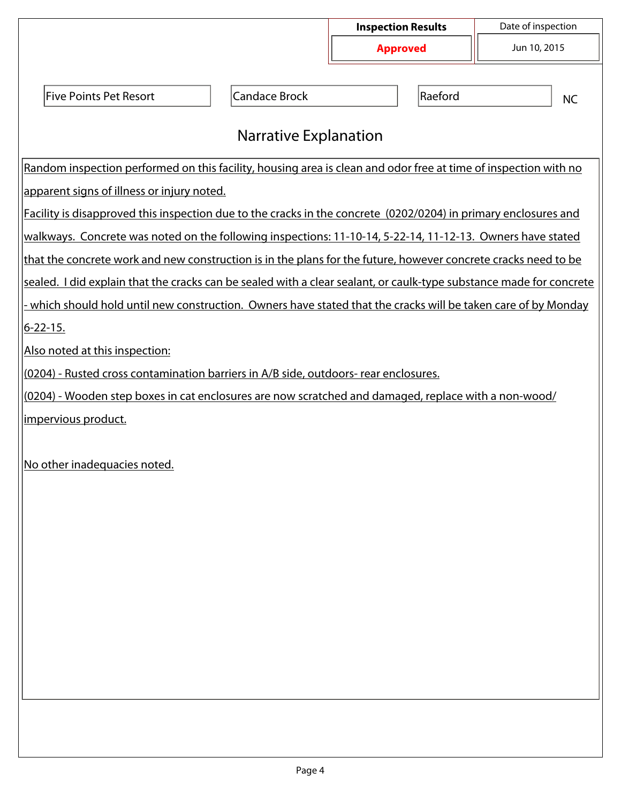|                                                                                                                     |                              | <b>Inspection Results</b> | Date of inspection |
|---------------------------------------------------------------------------------------------------------------------|------------------------------|---------------------------|--------------------|
|                                                                                                                     |                              | <b>Approved</b>           | Jun 10, 2015       |
|                                                                                                                     |                              |                           |                    |
| <b>Five Points Pet Resort</b>                                                                                       | <b>Candace Brock</b>         | Raeford                   | <b>NC</b>          |
|                                                                                                                     |                              |                           |                    |
|                                                                                                                     | <b>Narrative Explanation</b> |                           |                    |
| Random inspection performed on this facility, housing area is clean and odor free at time of inspection with no     |                              |                           |                    |
| apparent signs of illness or injury noted.                                                                          |                              |                           |                    |
| Facility is disapproved this inspection due to the cracks in the concrete (0202/0204) in primary enclosures and     |                              |                           |                    |
| walkways. Concrete was noted on the following inspections: 11-10-14, 5-22-14, 11-12-13. Owners have stated          |                              |                           |                    |
| that the concrete work and new construction is in the plans for the future, however concrete cracks need to be      |                              |                           |                    |
| sealed. I did explain that the cracks can be sealed with a clear sealant, or caulk-type substance made for concrete |                              |                           |                    |
| which should hold until new construction. Owners have stated that the cracks will be taken care of by Monday        |                              |                           |                    |
| <u> 6-22-15.</u>                                                                                                    |                              |                           |                    |
| Also noted at this inspection:                                                                                      |                              |                           |                    |
| (0204) - Rusted cross contamination barriers in A/B side, outdoors- rear enclosures.                                |                              |                           |                    |
| (0204) - Wooden step boxes in cat enclosures are now scratched and damaged, replace with a non-wood/                |                              |                           |                    |
| impervious product.                                                                                                 |                              |                           |                    |
|                                                                                                                     |                              |                           |                    |
| No other inadequacies noted.                                                                                        |                              |                           |                    |
|                                                                                                                     |                              |                           |                    |
|                                                                                                                     |                              |                           |                    |
|                                                                                                                     |                              |                           |                    |
|                                                                                                                     |                              |                           |                    |
|                                                                                                                     |                              |                           |                    |
|                                                                                                                     |                              |                           |                    |
|                                                                                                                     |                              |                           |                    |
|                                                                                                                     |                              |                           |                    |
|                                                                                                                     |                              |                           |                    |
|                                                                                                                     |                              |                           |                    |